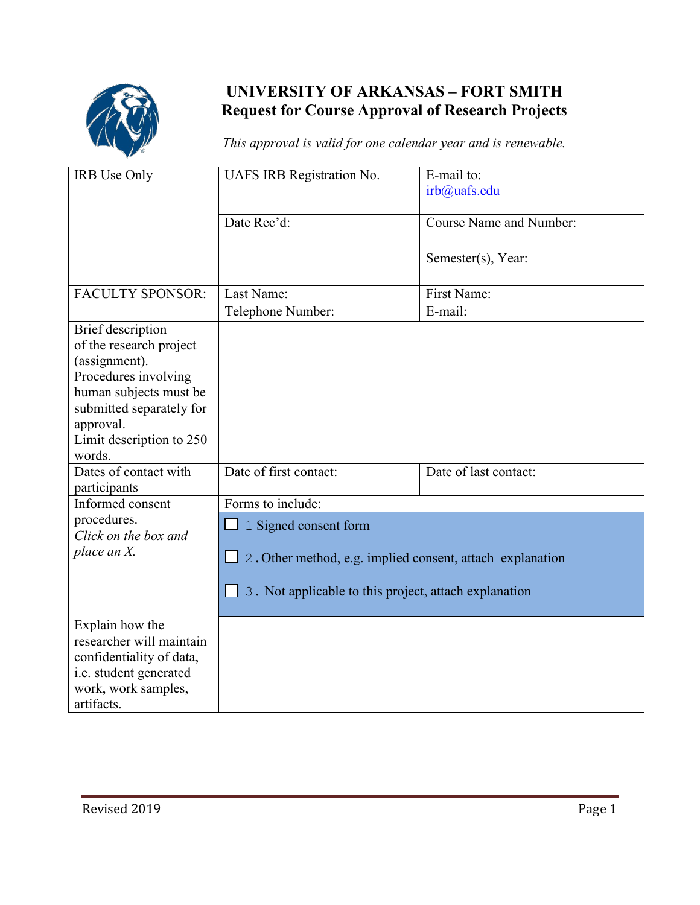

## **UNIVERSITY OF ARKANSAS – FORT SMITH Request for Course Approval of Research Projects**

*This approval is valid for one calendar year and is renewable.* 

| IRB Use Only                                                                                                                                                                                   | UAFS IRB Registration No.                                                                                                                   | E-mail to:<br>irb@uafs.edu     |
|------------------------------------------------------------------------------------------------------------------------------------------------------------------------------------------------|---------------------------------------------------------------------------------------------------------------------------------------------|--------------------------------|
|                                                                                                                                                                                                | Date Rec'd:                                                                                                                                 | <b>Course Name and Number:</b> |
|                                                                                                                                                                                                |                                                                                                                                             | Semester(s), Year:             |
| <b>FACULTY SPONSOR:</b>                                                                                                                                                                        | Last Name:                                                                                                                                  | <b>First Name:</b>             |
|                                                                                                                                                                                                | Telephone Number:                                                                                                                           | E-mail:                        |
| Brief description<br>of the research project<br>(assignment).<br>Procedures involving<br>human subjects must be<br>submitted separately for<br>approval.<br>Limit description to 250<br>words. |                                                                                                                                             |                                |
| Dates of contact with<br>participants                                                                                                                                                          | Date of first contact:                                                                                                                      | Date of last contact:          |
| Informed consent                                                                                                                                                                               | Forms to include:                                                                                                                           |                                |
| procedures.<br>Click on the box and<br>place an $X$ .                                                                                                                                          | 1 Signed consent form<br>2. Other method, e.g. implied consent, attach explanation<br>3. Not applicable to this project, attach explanation |                                |
| Explain how the<br>researcher will maintain<br>confidentiality of data,<br>i.e. student generated<br>work, work samples,<br>artifacts.                                                         |                                                                                                                                             |                                |